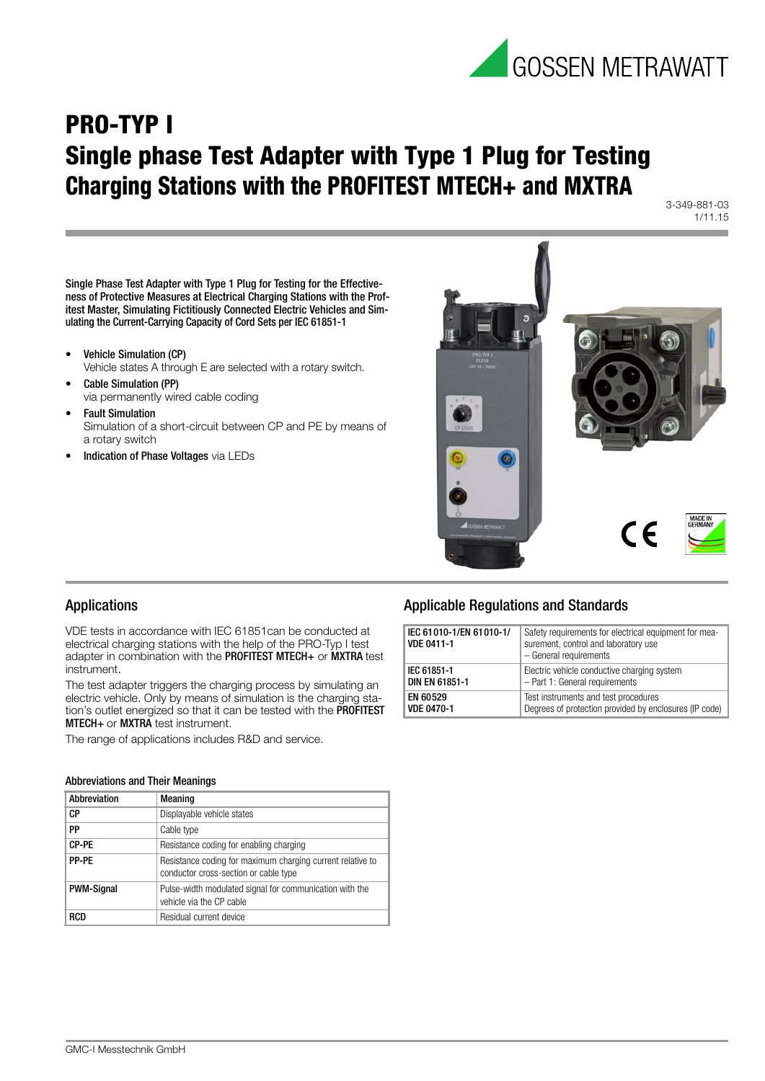

## **PRO-TYP I Single phase Test Adapter with Type 1 Plug for Testing Charging Stations with the PROFITEST MTECH+ and MXTRA**

3-349-881-03 1/11.15

Single Phase Test Adapter with Type 1 Plug for Testing for the Effectiveness of Protective Measures at Electrical Charging Stations with the Profitest Master, Simulating Fictitiously Connected Electric Vehicles and Simulating the Current-Carrying Capacity of Cord Sets per IEC 61851-1

- Vehicle Simulation (CP)
- Vehicle states A through E are selected with a rotary switch.
- Cable Simulation (PP) via permanently wired cable coding
- **Fault Simulation** Simulation of a short-circuit between CP and PE by means of a rotary switch
- Indication of Phase Voltages via LEDs



### Applications

VDE tests in accordance with IEC 61851can be conducted at electrical charging stations with the help of the PRO-Typ I test adapter in combination with the PROFITEST MTECH+ or MXTRA test instrument.

The test adapter triggers the charging process by simulating an electric vehicle. Only by means of simulation is the charging station's outlet energized so that it can be tested with the PROFITEST MTECH+ or MXTRA test instrument.

The range of applications includes R&D and service.

#### Abbreviations and Their Meanings

| Abbreviation      | Meaning                                                                                             |  |
|-------------------|-----------------------------------------------------------------------------------------------------|--|
| СP                | Displayable vehicle states                                                                          |  |
| PP                | Cable type                                                                                          |  |
| CP-PE             | Resistance coding for enabling charging                                                             |  |
| PP-PF             | Resistance coding for maximum charging current relative to<br>conductor cross-section or cable type |  |
| <b>PWM-Signal</b> | Pulse-width modulated signal for communication with the<br>vehicle via the CP cable                 |  |
| RCD               | Residual current device                                                                             |  |

## Applicable Regulations and Standards

| IEC 61010-1/EN 61010-1/<br><b>VDE 0411-1</b> | Safety requirements for electrical equipment for mea-<br>surement, control and laboratory use<br>- General requirements |
|----------------------------------------------|-------------------------------------------------------------------------------------------------------------------------|
| IEC 61851-1                                  | Electric vehicle conductive charging system                                                                             |
| <b>DIN EN 61851-1</b>                        | - Part 1: General requirements                                                                                          |
| EN 60529                                     | Test instruments and test procedures                                                                                    |
| <b>VDE 0470-1</b>                            | Degrees of protection provided by enclosures (IP code)                                                                  |